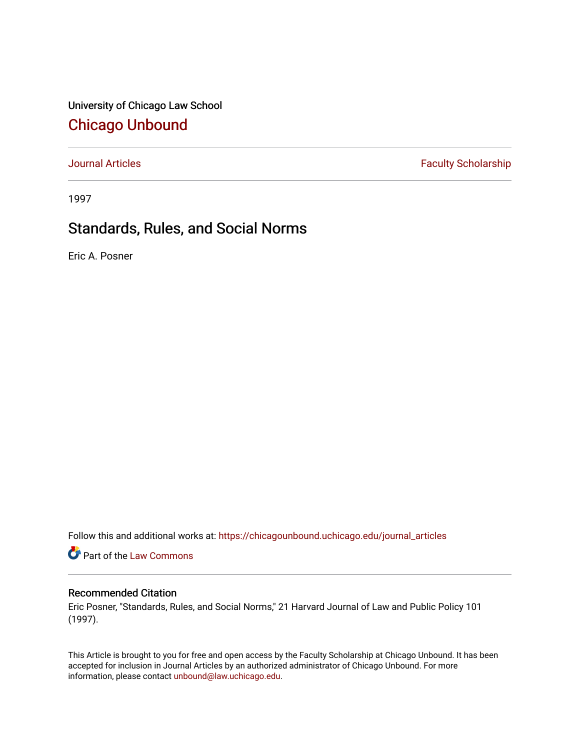University of Chicago Law School [Chicago Unbound](https://chicagounbound.uchicago.edu/)

[Journal Articles](https://chicagounbound.uchicago.edu/journal_articles) **Faculty Scholarship Faculty Scholarship** 

1997

# Standards, Rules, and Social Norms

Eric A. Posner

Follow this and additional works at: [https://chicagounbound.uchicago.edu/journal\\_articles](https://chicagounbound.uchicago.edu/journal_articles?utm_source=chicagounbound.uchicago.edu%2Fjournal_articles%2F1734&utm_medium=PDF&utm_campaign=PDFCoverPages) 

Part of the [Law Commons](http://network.bepress.com/hgg/discipline/578?utm_source=chicagounbound.uchicago.edu%2Fjournal_articles%2F1734&utm_medium=PDF&utm_campaign=PDFCoverPages)

# Recommended Citation

Eric Posner, "Standards, Rules, and Social Norms," 21 Harvard Journal of Law and Public Policy 101 (1997).

This Article is brought to you for free and open access by the Faculty Scholarship at Chicago Unbound. It has been accepted for inclusion in Journal Articles by an authorized administrator of Chicago Unbound. For more information, please contact [unbound@law.uchicago.edu](mailto:unbound@law.uchicago.edu).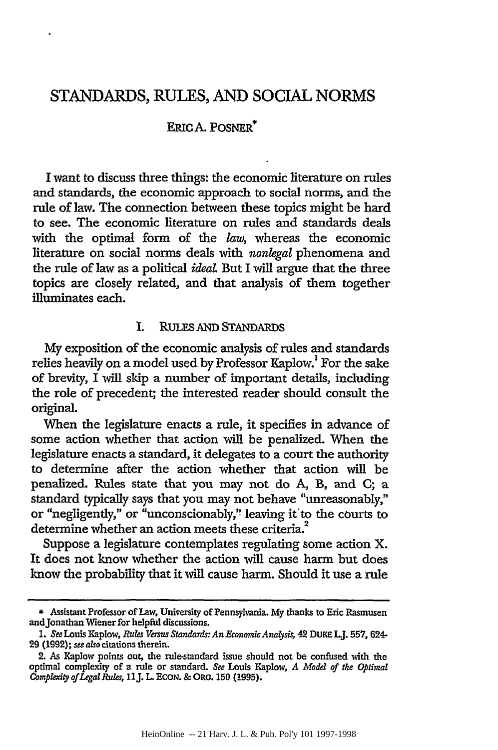# **STANDARDS, RULES, AND** SOCIAL NORMS

# ERICA. POSNER\*

I want to discuss three things: the economic literature on rules and standards, the economic approach to social norms, and the rule of law. The connection between these topics might be hard to see. The economic literature on rules and standards deals with the optimal form of the *law,* whereas the economic literature on social norms deals with *nonlegal* phenomena and the rule of law as a political *ideal* But I will argue that the three topics are closely related, and that analysis of them together illuminates each.

# I. RuLEs AND STANDARDS

My exposition of the economic analysis of rules and standards relies heavily on a model used by Professor Kaplow.<sup>1</sup> For the sake of brevity, I will skip a number of important details, including the role of precedent; the interested reader should consult the original.

When the legislature enacts a rule, it specifies in advance of some action whether that action will be penalized. When the legislature enacts a standard, it delegates to a court the authority to determine after the action whether that action will **be** penalized. Rules state that you may not do A, B, and C; a standard typically says that you may not behave "unreasonably," or "negligently," or "unconscionably," leaving it to the courts to determine whether an action meets these criteria.<sup>2</sup>

Suppose a legislature contemplates regulating some action X. It does not know whether the action will cause harm but does know the probability that it will cause harm. Should it use a rule

<sup>\*</sup> Assistant Professor of Law, University of Pennsylvania. My thanks to Eric Rasmusen andJonathan Wiener for helpful discussions.

*<sup>1.</sup> See* Louis Kaplow, *Rules VemsusStandards:AnEconomicAnalysis,* 42 DUKE LJ. **557,** 624- 29 (1992); see *also* citations therein.

<sup>2.</sup> As Kaplow points out, the rule-standard issue should not be confused with the optimal complexity of a rule or standard. *See* Louis Kaplow, *A Model of the Optimal Complexity ofLegalRules,* 11J. L **ECON.** & ORG. 150 (1995).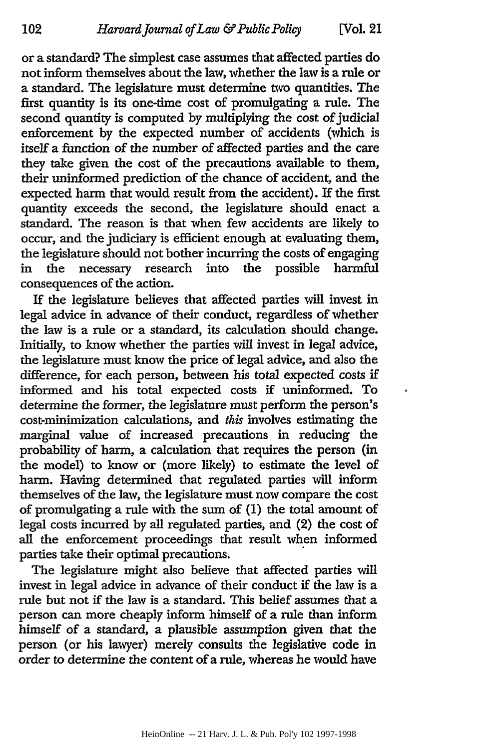or a standard? The simplest case assumes that affected parties do not inform themselves about the law, whether the law is a rule or a standard. The legislature must determine two quantities. The first quantity is its one-time cost of promulgating a rule. The second quantity is computed by multiplying the cost of judicial enforcement by the expected number of accidents (which is itself a function of the number of affected parties and the care they take given the cost of the precautions available to them, their uninformed prediction of the chance of accident, and the expected harm that would result from the accident). If the first quantity exceeds the second, the legislature should enact a standard. The reason is that when few accidents are likely to occur, and the judiciary is efficient enough at evaluating them, the legislature should not bother incurring the costs of engaging in the necessary research into the possible harmful consequences of the action.

If the legislature believes that affected parties will invest in legal advice in advance of their conduct, regardless of whether the law is a rule or a standard, its calculation should change. Initially, to know whether the parties will invest in legal advice, the legislature must know the price of legal advice, and also the difference, for each person, between his total expected costs if informed and his total expected costs if uninformed. To determine the former, the legislature must perform the person's cost-minimization calculations, and *this* involves estimating the marginal value of increased precautions in reducing the probability of harm, a calculation that requires the person (in the model) to know or (more likely) to estimate the level of harm. Having determined that regulated parties will inform themselves of the law, the legislature must now compare the cost of promulgating a rule with the sum of (1) the total amount of legal costs incurred by all regulated parties, and (2) the cost of all the enforcement proceedings that result when informed parties take their optimal precautions.

The legislature might also believe that affected parties will invest in legal advice in advance of their conduct if the law is a rule but not if the law is a standard. This belief assumes that a person can more cheaply inform himself of a rule than inform himself of a standard, a plausible assumption given that the person (or his lawyer) merely consults the legislative code in order to determine the content of a rule, whereas he would have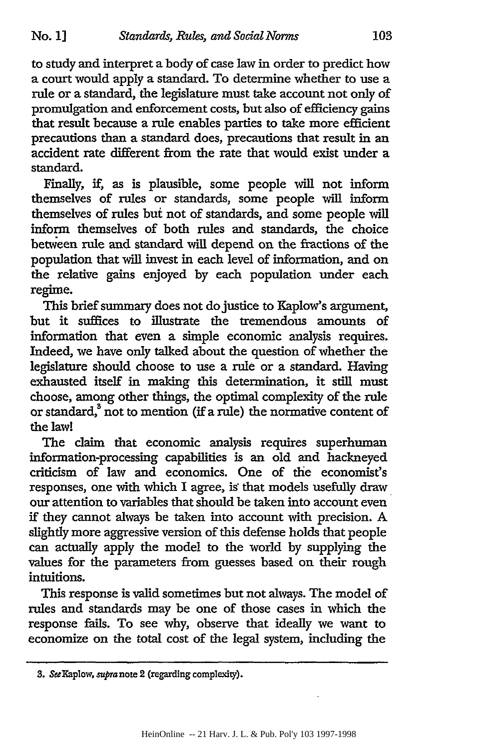to study and interpret a body of case law in order to predict how a court would apply a standard. To determine whether to use a rule or a standard, the legislature must take account not only of promulgation and enforcement costs, but also of efficiency gains that result because a rule enables parties to take more efficient precautions than a standard does, precautions that result in an accident rate different from the rate that would exist under a standard.

Finally, if, as is plausible, some people will not inform themselves of rules or standards, some people will inform themselves of rules but not of standards, and some people will inform themselves of both rules and standards, the choice between rule and standard will depend on the fractions of the population that will invest in each level of information, and on the relative gains enjoyed by each population under each regime.

This brief summary does not do justice to Kaplow's argument, but it suffices to illustrate the tremendous amounts of information that even a simple economic analysis requires. Indeed, we have only talked about the question of whether the legislature should choose to use a rule or a standard. Having exhausted itself in making this determination, it still must choose, among other things, the optimal complexity of the rule or standard,<sup>3</sup> not to mention (if a rule) the normative content of the law!

The claim that economic analysis requires superhuman information-processing capabilities is an old and hackneyed criticism of law and economics. One of the economist's responses, one with which I agree, is that models usefully draw our attention to variables that should be taken into account even if they cannot always be taken into account with precision. A slightly more aggressive version of this defense holds that people can actually apply the model to the world by supplying the values for the parameters from guesses based on their rough intuitions.

This response is valid sometimes but not always. The model of rules and standards may be one of those cases in which the response fails. To see why, observe that ideally we want to economize on the total cost of the legal system, including the

*<sup>3.</sup>* SeeKaplow, supra note 2 (regarding complexity).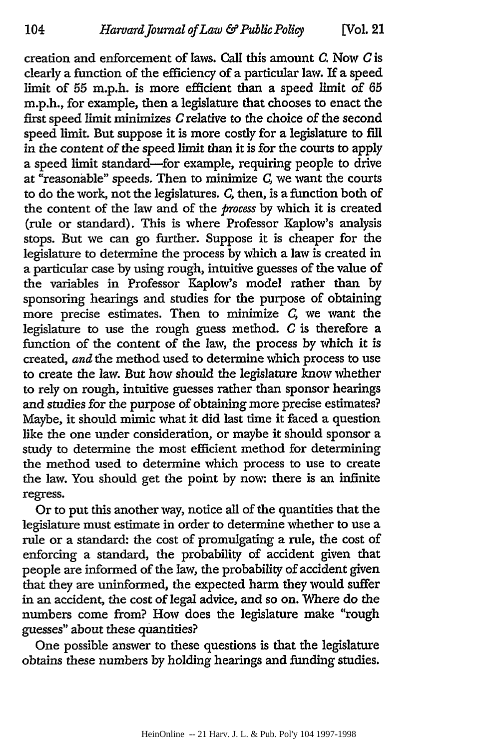104

creation and enforcement of laws. Call this amount *C.* Now *C* is clearly a function of the efficiency of a particular law. If a speed limit of 55 m.p.h. is more efficient than a speed limit of 65 m.p.h., for example, then a legislature that chooses to enact the first speed limit minimizes *C* relative to the choice of the second speed limit. But suppose it is more costly for a legislature to fill in the content of the speed limit than it is for the courts to apply a speed limit standard-for example, requiring people to drive at "reasonable" speeds. Then to minimize *C*, we want the courts to do the work, not the legislatures. *C,* then, is a function both of the content of the law and of the *process* by which it is created (rule or standard). This is where Professor Kaplow's analysis stops. But we can go further. Suppose it is cheaper for the legislature to determine the process by which a law is created in a particular case by using rough, intuitive guesses of the value of the variables in Professor Kaplow's model rather than by sponsoring hearings and studies for the purpose of obtaining more precise estimates. Then to minimize *C,* we want the legislature to use the rough guess method.  $C$  is therefore a function of the content of the law, the process by which it is created, *and the* method used to determine which process to use to create the law. But how should the legislature know whether to rely on rough, intuitive guesses rather than sponsor hearings and studies for the purpose of obtaining more precise estimates? Maybe, it should mimic what it did last time it faced a question like the one under consideration, or maybe it should sponsor a study to determine the most efficient method for determining the method used to determine which process to use to create the law. You should get the point by now: there is an infinite regress.

Or to put this another way, notice all of the quantities that the legislature must estimate in order to determine whether to use a rule or a standard: the cost of promulgating a rule, the cost of enforcing a standard, the probability of accident given that people are informed of the law, the probability of accident given that they are uninformed, the expected harm they would suffer in an accident, the cost of legal advice, and so on. Where do the numbers come from? How does the legislature make "rough guesses" about these quantities?

One possible answer to these questions is that the legislature obtains these numbers by holding hearings and funding studies.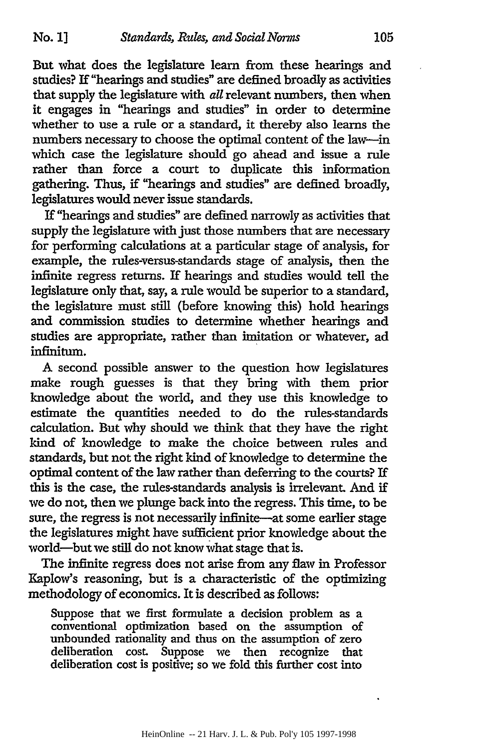But what does the legislature learn from these hearings and studies? If "hearings and studies" are defined broadly as activities that supply the legislature with *all* relevant numbers, then when it engages in "hearings and studies" in order to determine whether to use a rule or a standard, it thereby also learns the numbers necessary to choose the optimal content of the law-in which case the legislature should go ahead and issue a rule rather than force a court to duplicate this information gathering. Thus, if "hearings and studies" are defined broadly, legislatures would never issue standards.

If "hearings and studies" are defined narrowly as activities that supply the legislature with just those numbers that are necessary for performing calculations at a particular stage of analysis, for example, the rules-versus-standards stage of analysis, then the infinite regress returns. If hearings and studies would tell the legislature only that, say, a rule would be superior to a standard, the legislature must still (before knowing this) hold hearings and commission studies to determine whether hearings and studies are appropriate, rather than imitation or whatever, ad infinitum.

A second possible answer to the question how legislatures make rough guesses is that they bring with them prior knowledge about the world, and they use this knowledge to estimate the quantities needed to do the rules-standards calculation. But why should we think that they have the right kind of knowledge to make the choice between rules and standards, but not the right kind of knowledge to determine the optimal content of the law rather than deferring to the courts? If this is the case, the rules-standards analysis is irrelevant. And if we do not, then we plunge back into the regress. This time, to be sure, the regress is not necessarily infinite—at some earlier stage the legislatures might have sufficient prior knowledge about the world-but we still do not know what stage that is.

The infinite regress does not arise from any flaw in Professor Kaplow's reasoning, but is a characteristic of the optimizing methodology of economics. It is described as follows:

Suppose that we first formulate a decision problem as a conventional optimization based on the assumption of unbounded rationality and thus on the assumption of zero deliberation cost. Suppose we then recognize that deliberation cost is positive; so we fold this further cost into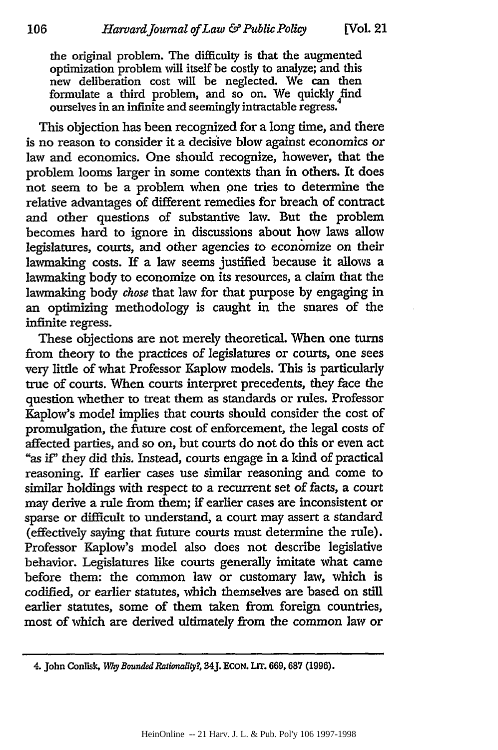the original problem. The difficulty is that the augmented optimization problem will itself be costly to analyze; and this new deliberation cost will be neglected. We can then formulate a third problem, and so on. We quickly find ourselves in an infinite and seemingly intractable regress.

This objection has been recognized for a long time, and there is no reason to consider it a decisive blow against economics or law and economics. One should recognize, however, that the problem looms larger in some contexts than in others. It does not seem to be a problem when one tries to determine the relative advantages of different remedies for breach of contract and other questions of substantive law. But the problem becomes hard to ignore in discussions about how laws allow legislatures, courts, and other agencies to economize on their lawmaking costs. If a law seems justified because it allows a lawmaking body to economize on its resources, a claim that the lawmaking body *chose* that law for that purpose **by** engaging in an optimizing methodology is caught in the snares of the infinite regress.

These objections are not merely theoretical. When one turns from theory to the practices of legislatures or courts, one sees very little of what Professor Kaplow models. This is particularly true of courts. When courts interpret precedents, they face the question whether to treat them as standards or rules. Professor Kaplow's model implies that courts should consider the cost of promulgation, the future cost of enforcement, the legal costs of affected parties, and so on, but courts do not do this or even act "as *if"* they did this. Instead, courts engage in a kind of practical reasoning. If earlier cases use similar reasoning and come to similar holdings with respect to a recurrent set of facts, a court may derive a rule from them; if earlier cases are inconsistent or sparse or difficult to understand, a court may assert a standard (effectively saying that future courts must determine the rule). Professor Kaplow's model also does not describe legislative behavior. Legislatures like courts generally imitate what came before them: the common law or customary law, which is codified, or earlier statutes, which themselves are based on still earlier statutes, some of them taken from foreign countries, most of which are derived ultimately from the common law or

<sup>4.</sup> John Conlisk, *Why Bounded Rationality?*, 34J. ECON. LIT. 669, 687 (1996).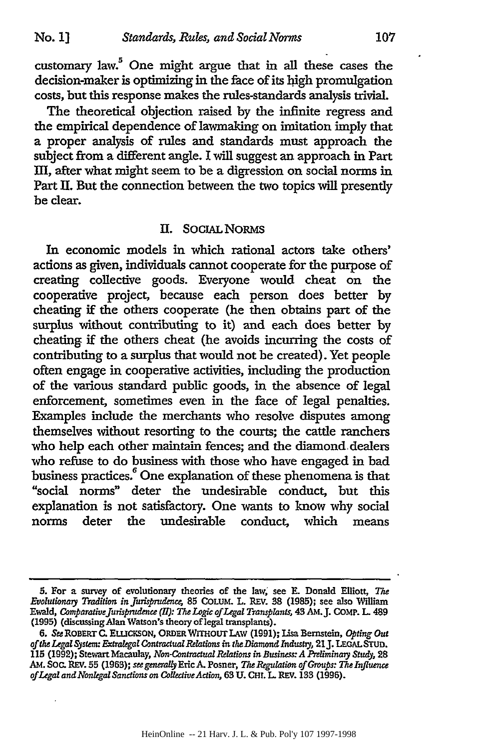customary law.<sup>5</sup> One might argue that in all these cases the decision-maker is optimizing in the face of its high promulgation costs, but this response makes the rules-standards analysis trivial.

The theoretical objection raised by the infinite regress and the empirical dependence of lawmaking on imitation imply that a proper analysis of rules and standards must approach the subject from a different angle. I will suggest an approach in Part m, after what might seem to be a digression on social norms in Part **II.** But the connection between the two topics will presently be clear.

#### II. SOCIAL NORMS

In economic models in which rational actors take others' actions as given, individuals cannot cooperate for the purpose of creating collective goods. Everyone would cheat on the cooperative project, because each person does better by cheating if the others cooperate (he then obtains part of the surplus without contributing to it) and each does better by cheating if the others cheat (he avoids incurring the costs of contributing to a surplus that would not be created). Yet people often engage in cooperative activities, including the production of the various standard public goods, in the absence of legal enforcement, sometimes even in the face of legal penalties. Examples include the merchants who resolve disputes among themselves without resorting to the courts; the cattle ranchers who help each other maintain fences; and the diamond dealers who refuse to do business with those who have engaged in bad business practices.<sup>6</sup> One explanation of these phenomena is that "social norms" deter the undesirable conduct, but this explanation is not satisfactory. One wants to know why social norms deter the undesirable conduct, which means

**<sup>5.</sup>** For a survey of evolutionary theories of the law, see **E.** Donald Elliott, *Te* Evolutionary Tradition in Jurisprudence, 85 COLUM. L. REV. 38 (1985); see also William Ewald, *ComparaltveJurispmdenne (HI): The Logic of Legal Transplants,* **43** AMJ. COMP. **L.** 489 **(1995)** (discussing Alan Watson's theory of legal transplants).

**<sup>6.</sup>** *See* ROBERTC. ELuCKSON, ORDER WITHOUT **LAW (1991);** Lisa Bernstein, *Opting Out of the Legal System: Extralegal Contractual Relations in the Diamond Indushy,* 21J. LEGAL STUD. **115 (1992);** Stewart Macaulay, *Non-Contractual Relatwi in Business.:A Preliminamy* Study, **28** AM. **SOC.** REV. **55 (1963);** *see generally* Eric **A.** Posner, *The Regulation of Groups: The Influence of Legal and Nonlegal Sanctions on CollectiveAction,* 63 **U. CHt.** L REV. 133 **(1996).**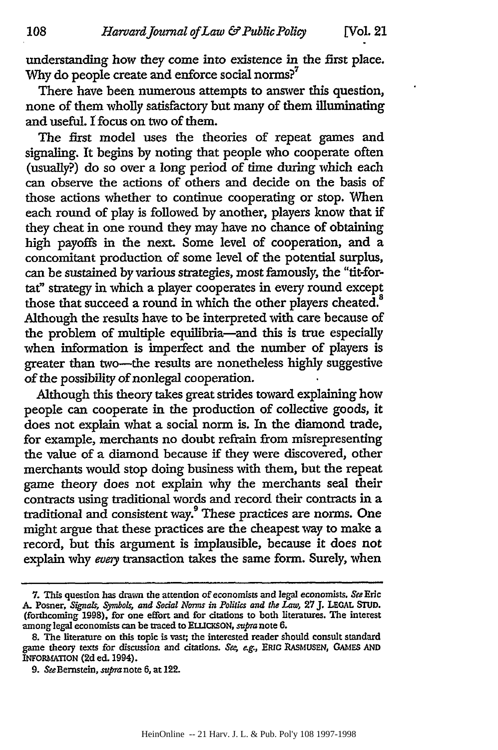understanding how they come into existence in the first place. Why do people create and enforce social norms?<sup>7</sup>

There have been numerous attempts to answer this question, none of them wholly satisfactory but many of them illuminating and useful. I focus on two of them.

The first model uses the theories of repeat games and signaling. It begins **by** noting that people who cooperate often (usually?) do so over a long period of time during which each can observe the actions of others and decide on the basis of those actions whether to continue cooperating or stop. When each round of play is followed **by** another, players know that **if** they cheat in one round they may have no chance of obtaining high payoffs in the next. Some level of cooperation, and a concomitant production of some level of the potential surplus, can be sustained **by** various strategies, most famously, the "tit-fortat" strategy in which a player cooperates in every round except those that succeed a round in which the other players cheated.<sup>8</sup> Although the results have to be interpreted with care because of the problem of multiple equilibria-and this is true especially when information is imperfect and the number of players is greater than two-the results are nonetheless highly suggestive of the possibility of nonlegal cooperation.

Although this theory takes great strides toward explaining how people can cooperate in the production of collective goods, it does not explain what a social norm is. In the diamond trade, for example, merchants no doubt refrain from misrepresenting the value of a diamond because if they were discovered, other merchants would stop doing business with them, but the repeat game theory does not explain why the merchants seal their contracts using traditional words and record their contracts in a traditional and consistent way.9 These practices are norms. One might argue that these practices are the cheapest way to make a record, but this argument is implausible, because it does not explain why *every* transaction takes the same form. Surely, when

**<sup>7.</sup>** This question has drawn the attention of economists and legal economists. *See* Eric A. Posner, *Signals, Symbols, and Sodal Norms in Politics and* **the** *Law,* **27 J. LEGAL STUD.** (forthcoming **1998),** for one effort and for citations to both literatures. The interest among legal economists can be traced to ELLICKSON, *supra* note 6.

**<sup>8.</sup>** The literature **on** this topic is vast; the interested reader should consult standard game theory texts for discussion and dtadons. *Se; ag.,* ERIC **RASMUSEN,** *GAMIES* **AND** INFORMATION **(2d** ed. 1994).

**<sup>9.</sup>** SeeBernstein, *supra* note **6,** at 122.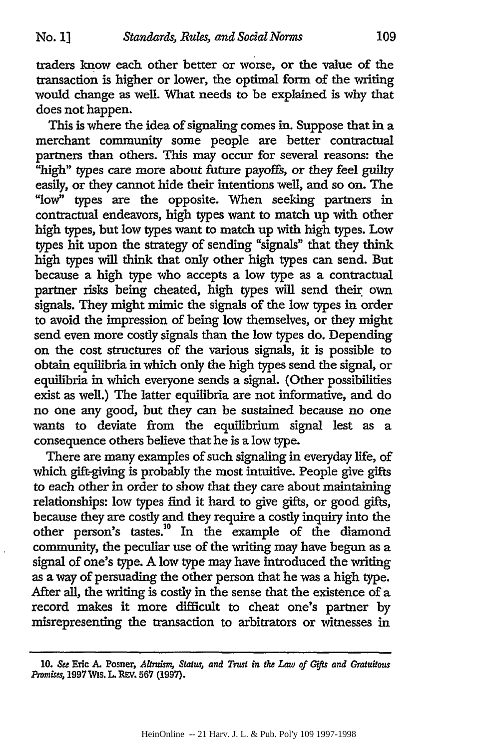traders know each other better or worse, or the value of the transaction is higher or lower, the optimal form of the writing would change as well. What needs to be explained is why that does not happen.

This is where the idea of signaling comes in. Suppose that in a merchant community some people are better contractual partners than others. This may occur for several reasons: the "high" types care more about future payoffs, or they feel guilty easily, or they cannot hide their intentions well, and so on. The "low" types are the opposite. When seeking partners in contractual endeavors, high types want to match up with other high types, but low types want to match up with high types. Low types hit upon the strategy of sending "signals" that they think high types will think that only other high types can send. But because a high type who accepts a low type as a contractual partner risks being cheated, high types will send their own signals. They might mimic the signals of the low types in order to avoid the impression of being low themselves, or they might send even more costly signals than the low types do. Depending on the cost structures of the various signals, it is possible to obtain equilibria in which only the high types send the signal, or equilibria in which everyone sends a signal. (Other possibilities exist as well.) The latter equilibria are not informative, and do no one any good, but they can be sustained because no one wants to deviate from the equilibrium signal lest as a consequence others believe that he is a low type.

There are many examples of such signaling in everyday life, of which gift-giving is probably the most intuitive. People give gifts to each other in order to show that they care about maintaining relationships: low types find it hard to give gifts, or good gifts, because they are costly and they require a costly inquiry into the other person's tastes.<sup>10</sup> In the example of the diamond community, the peculiar use of the writing may have begun as a signal of one's type. A low type may have introduced the writing as a way of persuading the other person that he was a high type. After all, the writing is costly in the sense that the existence of a record makes it more difficult to cheat one's partner by misrepresenting the transaction to arbitrators or witnesses in

*<sup>10.</sup>* **See** Eric *A.* Posner, *Allndm Status, and Tust in the Law of* Gfls *and Gratuitous mmises,* 1997 Wis. L. REV. **567 (1997).**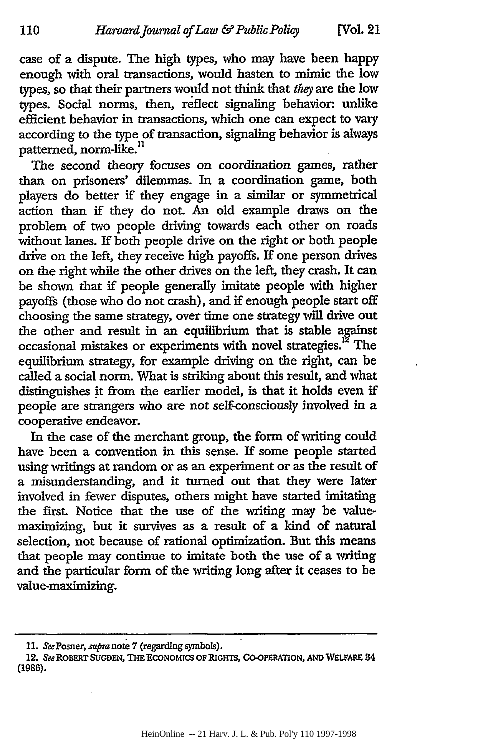110

case of a dispute. The high types, who may have been happy enough with oral transactions, would hasten to mimic the low types, so that their partners would not think that *they* are the low types. Social norms, then, reflect signaling behavior unlike efficient behavior in transactions, which one can expect to vary according to the type of transaction, signaling behavior is always patterned, norm-like.<sup>11</sup>

The second theory focuses on coordination games, rather than on prisoners' dilemmas. In a coordination game, both players do better if they engage in a similar or symmetrical action than if they do not. An old example draws on the problem of two people driving towards each other on roads without lanes. If both people drive on the right or both people drive on the left, they receive high payoffs. If one person drives on the right while the other drives on the left, they crash. It can be shown that if people generally imitate people with higher payoffs (those who do not crash), and if enough people start off choosing the same strategy, over time one strategy will drive out the other and result in an equilibrium that is stable against occasional mistakes or experiments with novel strategies.<sup>12</sup> The equilibrium strategy, for example driving on the right, can be called a social norm. What is striking about this result, and what distinguishes it from the earlier model, is that it holds even if people are strangers who are not self-consciously involved in a cooperative endeavor.

In the case of the merchant group, the form of writing could have been a convention in this sense. If some people started using writings at random or as an experiment or as the result of a misunderstanding, and it turned out that they were later involved in fewer disputes, others might have started imitating the first. Notice that the use of the writing may be valuemaximizing, but it survives as a result of a kind of natural selection, not because of rational optimization. But this means that people may continue to imitate both the use of a writing and the particular form of the writing long after it ceases to be value-maximizing.

**<sup>11.</sup>** SeePosner, supranote 7 (regarding symbols).

<sup>12.</sup> See ROBERT SUGDEN, THE ECONOMICS OF RIGHTS, CO-OPERATION, AND WELFARE 34 **(1986).**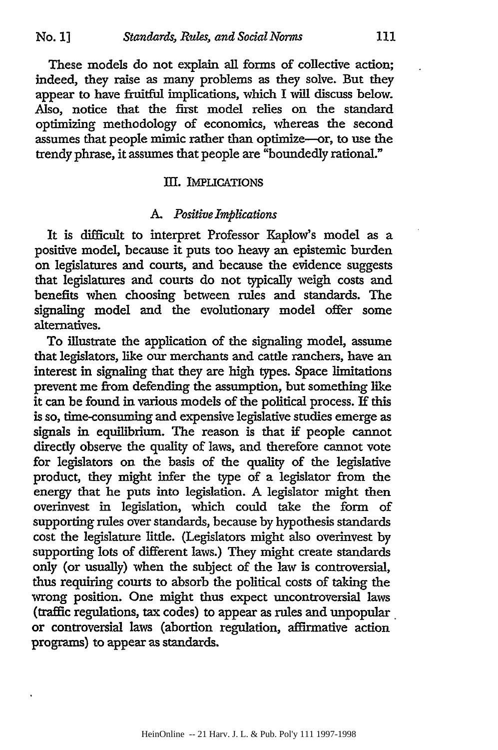These models do not explain all forms of collective action; indeed, they raise as many problems as they solve. But they appear to have fruitful implications, which I will discuss below. Also, notice that the first model relies on the standard optimizing methodology of economics, whereas the second assumes that people mimic rather than optimize-or, to use the trendy phrase, it assumes that people are "boundedly rational."

### III. **IMPLICATIONS**

#### *A. Positive Implications*

It is difficult to interpret Professor Kaplow's model as a positive model, because it puts too heavy an epistemic burden on legislatures and courts, and because the evidence suggests that legislatures and courts do not typically weigh costs and benefits when choosing between rules and standards. The signaling model and the evolutionary model offer some alternatives.

To illustrate the application of the signaling model, assume that legislators, like our merchants and cattle ranchers, have an interest in signaling that they are high types. Space limitations prevent me from defending the assumption, but something like it can be found in various models of the political process. If this is so, time-consuming and expensive legislative studies emerge as signals in equilibrium. The reason is that if people cannot directly observe the quality of laws, and therefore cannot vote for legislators on the basis of the quality of the legislative product, they might infer the type of a legislator from the energy that he puts into legislation. **A** legislator might then overinvest in legislation, which could take the form of supporting rules over standards, because **by** hypothesis standards cost the legislature little. (Legislators might also overinvest by supporting lots of different laws.) They might create standards only (or usually) when the subject of the law is controversial, thus requiring courts to absorb the political costs of taking the wrong position. One might thus expect uncontroversial laws (traffic regulations, tax codes) to appear as rules and unpopular. or controversial laws (abortion regulation, affirmative action programs) to appear as standards.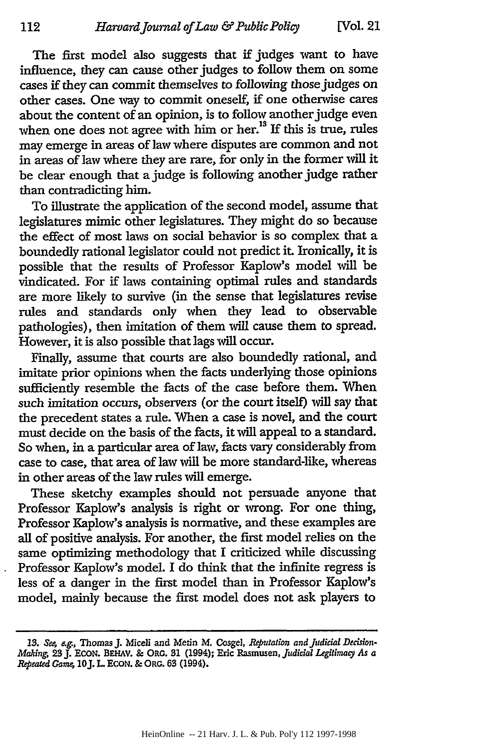The first model also suggests that if judges want to have influence, they can cause other judges to follow them on some cases if they can commit themselves to following those judges on other cases. One way to commit oneself, if one otherwise cares about the content of an opinion, is to follow another judge even when one does not agree with him or her.<sup>13</sup> If this is true, rules may emerge in areas of law where disputes are common and not in areas of law where they are rare, for only in the former will it be clear enough that a judge is following another judge rather than contradicting him.

To illustrate the application of the second model, assume that legislatures mimic other legislatures. They might do so because the effect of most laws on social behavior is so complex that a boundedly rational legislator could not predict it. Ironically, it is possible that the results of Professor Kaplow's model will be vindicated. For if laws containing optimal rules and standards are more likely to survive (in the sense that legislatures revise rules and standards only when they lead to observable pathologies), then imitation of them will cause them to spread. However, it is also possible that lags will occur.

Finally, assume that courts are also boundedly rational, and imitate prior opinions when the facts underlying those opinions sufficiently resemble the facts of the case before them. When such imitation occurs, observers (or the court itself) will say that the precedent states a rule. When a case is novel, and the court must decide on the basis of the facts, it will appeal to a standard. So when, in a particular area of law, facts vary considerably from case to case, that area of law will be more standard-like, whereas in other areas of the law rules will emerge.

These sketchy examples should not persuade anyone that Professor Kaplow's analysis is right or wrong. For one thing, Professor Kaplow's analysis is normative, and these examples are all of positive analysis. For another, the first model relies on the same optimizing methodology that I criticized while discussing Professor KapIow's model. I do think that the infinite regress is less of a danger in the first model than in Professor Kaplow's model, mainly because the first model does not ask players to

<sup>13.</sup> See, e.g., Thomas J. Miceli and Metin M. Cosgel, Reputation and Judicial Decision-*Making,* **23J. ECON.** BEHAV. **&** ORG. **31** (1994); Eric Rasmusen, *judicial Legitimaq As a Repeated Game,* **10J.** L **EcoN.** & ORG. **63** (1994).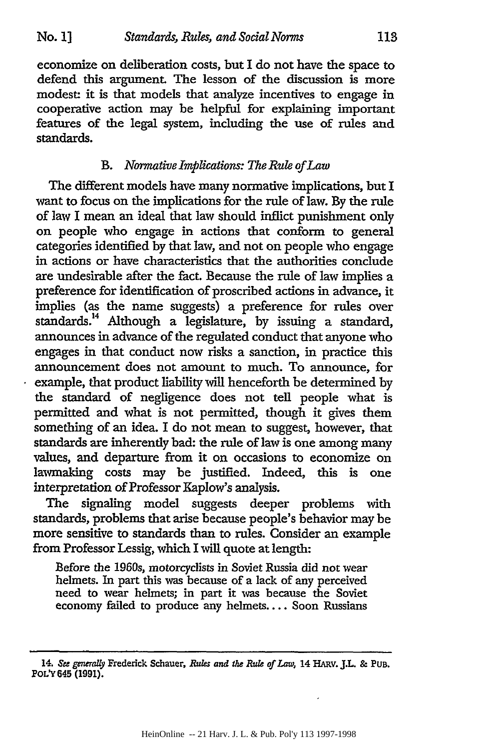economize on deliberation costs, but I do not have the space to defend this argument. The lesson of the discussion is more modest it is that models that analyze incentives to engage in cooperative action may be helpful for explaining important features of the legal system, including the use of rules and standards.

# *B. Normative Implications: The Rule of Law*

The different models have many normative implications, but I want to focus on the implications for the rule of law. By the rule of law I mean an ideal that law should inflict punishment only on people who engage in actions that conform to general categories identified by that law, and not on people who engage in actions or have characteristics that the authorities conclude are undesirable after the fact. Because the rule of law implies a preference for identification of proscribed actions in advance, it implies (as the name suggests) a preference for rules over standards. 14 Although a legislature, by issuing a standard, announces in advance of the regulated conduct that anyone who engages in that conduct now risks a sanction, in practice this announcement does not amount to much. To announce, for example, that product liability will henceforth be determined by the standard of negligence does not tell people what is permitted and what is not permitted, though it gives them something of an idea. I do not mean to suggest, however, that standards are inherently bad: the rule of law is one among many values, and departure from it on occasions to economize on lawmaking costs may be justified. Indeed, this is one interpretation of Professor Kaplow's analysis.

The signaling model suggests deeper problems with standards, problems that arise because people's behavior may be more sensitive to standards than to rules. Consider an example from Professor Lessig, which I will quote at length:

Before the 1960s, motorcyclists in Soviet Russia did not wear helmets. In part this was because of a lack of any perceived need to wear helmets; in part it was because the Soviet economy failed to produce any helmets.... Soon Russians

<sup>14.</sup> **See** *generally* Frederick Schauer, Rues and the **Rule** of *Laws* 14 HARv. J.L. **&** PUB. POL'Y 645 (1991).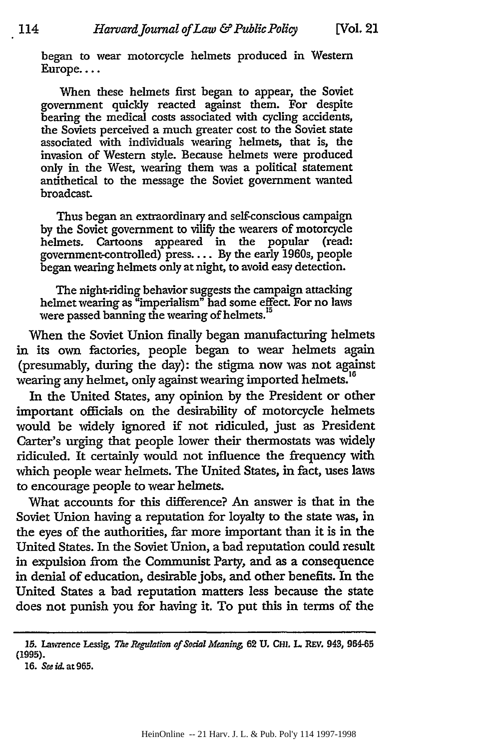began to wear motorcycle helmets produced in Western Europe....

When these helmets first began to appear, the Soviet government quickly reacted against them. For despite bearing the medical costs associated with cycling accidents, the Soviets perceived a much greater cost to the Soviet state associated with individuals wearing helmets, that is, the invasion of Western style. Because helmets were produced only in the West, wearing them was a political statement antithetical to the message the Soviet government wanted broadcast.

Thus began an extraordinary and self-conscious campaign by the Soviet government to vilify the wearers of motorcycle helmets. Cartoons appeared in the popular (read: government-controlled) press.... By the early 1960s, people began wearing helmets only at night, to avoid easy detection.

The night-riding behavior suggests the campaign attacking helmet wearing as "imperialism" had some effect. For no laws were passed banning the wearing of helmets.<sup>15</sup>

When the Soviet Union finally began manufacturing helmets in its own factories, people began to wear helmets again (presumably, during the day): the stigma now was not against wearing any helmet, only against wearing imported helmets."

In the United States, any opinion by the President or other important officials on the desirability of motorcycle helmets would be widely ignored if not ridiculed, just as President Carter's urging that people lower their thermostats was widely ridiculed. It certainly would not influence the frequency with which people wear helmets. The United States, in fact, uses laws to encourage people to wear helmets.

What accounts for this difference? An answer is that in the Soviet Union having a reputation for loyalty to the state was, in the eyes of the authorities, far more important than it is in the United States. In the Soviet Union, a bad reputation could result in expulsion from the Communist Party, and as a consequence in denial of education, desirable jobs, and other benefits. In the United States a bad reputation matters less because the state does not punish you for having it. To put this in terms of the

**<sup>15.</sup>** Lawrence Lessig, *The Regulalion of Sodal Meaning* **62 U. CH.** L REV. 943, 964-65 (1995).

**<sup>16.</sup>** *See id.* at 965.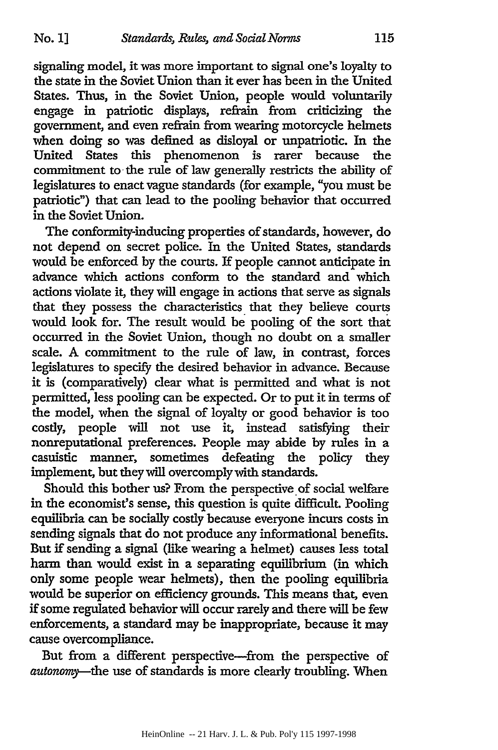signaling model, it was more important to signal one's loyalty to the state in the Soviet Union than it ever has been in the United States. Thus, in the Soviet Union, people would voluntarily engage in patriotic displays, refrain from criticizing the government, and even refrain from wearing motorcycle helmets when doing so was defined as disloyal or unpatriotic. In the United States this phenomenon is rarer because the commitment to the rule of law generally restricts the ability of legislatures to enact vague standards (for example, "you must be patriotic") that can lead to the pooling behavior that occurred in the Soviet Union.

The conformity-inducing properties of standards, however, do not depend on secret police. In the United States, standards would be enforced by the courts. If people cannot anticipate in advance which actions conform to the standard and which actions violate it, they will engage in actions that serve as signals that they possess the characteristics that they believe courts would look for. The result would be pooling of the sort thai occurred in the Soviet Union, though no doubt on a smaller scale. A commitment to the rule of law, in contrast, forces legislatures to specify the desired behavior in advance. Because it is (comparatively) clear what is permitted and what is not permitted, less pooling can be expected. Or to put it in terms of the model, when the signal of loyalty or good behavior is too costly, people will not use it, instead satisfying their nonreputational preferences. People may abide by rules in a casuistic manner, sometimes defeating the policy they implement, but they will overcomply with standards.

Should this bother us? From the perspective of social welfare in the economist's sense, this question is quite difficult. Pooling equilibria can be socially costly because everyone incurs costs in sending signals that do not produce any informational benefits. But if sending a signal (like wearing a helmet) causes less total harm than would exist in a separating equilibrium (in which only some people wear helmets), then the pooling equilibria would be superior on efficiency grounds. This means that, even if some regulated behavior will occur rarely and there will be few enforcements, a standard may be inappropriate, because it may cause overcompliance.

But from a different perspective-from the perspective of *autonomy-the* use of standards is more clearly troubling. When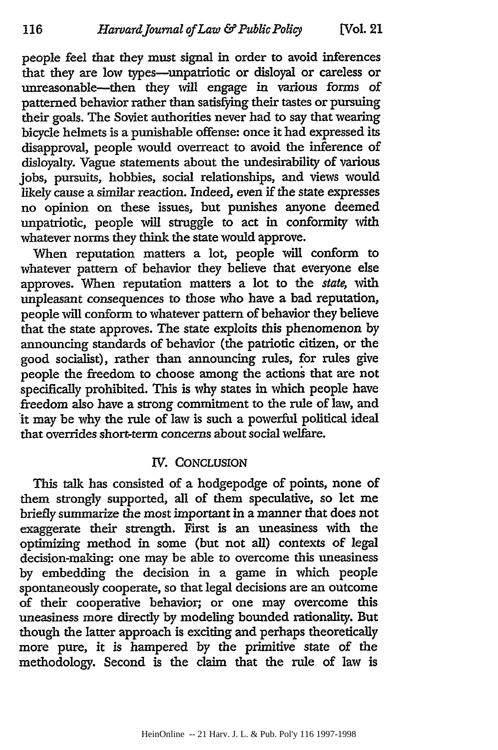116

people feel that they must signal in order to avoid inferences that they are low types-unpatriotic or disloyal or careless or unreasonable-then they will engage in various forms of patterned behavior rather than satisfying their tastes or pursuing their goals. The Soviet authorities never had to say that wearing bicycle helmets is a punishable offense: once it had expressed its disapproval, people would overreact to avoid the inference of disloyalty. Vague statements about the undesirability of various jobs, pursuits, hobbies, social relationships, and views would likely cause a similar reaction. Indeed, even if the state expresses no opinion on these issues, but punishes anyone deemed unpatriotic, people will struggle to act in conformity with whatever norms they think the state would approve.

When reputation matters a lot, people will conform to whatever pattern of behavior they believe that everyone else approves. When reputation matters a lot to the *state,* with unpleasant consequences to those who have a bad reputation, people will conform to whatever pattern of behavior they believe that the state approves. The state exploits this phenomenon by announcing standards of behavior (the patriotic citizen, or the good socialist), rather than announcing rules, for rules give people the freedom to choose among the actions that are not specifically prohibited. This is why states in which people have freedom also have a strong commitment to the rule of law, and it may be why the rule of law is such a powerful political ideal that overrides short-term concerns about social welfare.

# *IV.* CONCLUSION

This talk has consisted of a hodgepodge of points, none of them strongly supported, all of them speculative, so let me briefly summarize the most important in a manner that does not exaggerate their strength. First is an uneasiness with the optimizing method in some (but not all) contexts of legal decision-making: one may be able to overcome this uneasiness by embedding the decision in a game in which people spontaneously cooperate, so that legal decisions are an outcome of their cooperative behavior; or one may overcome this uneasiness more directly by modeling bounded rationality. But though the latter approach is exciting and perhaps theoretically more pure, it is hampered by the primitive state of the methodology. Second is the claim that the rule of law is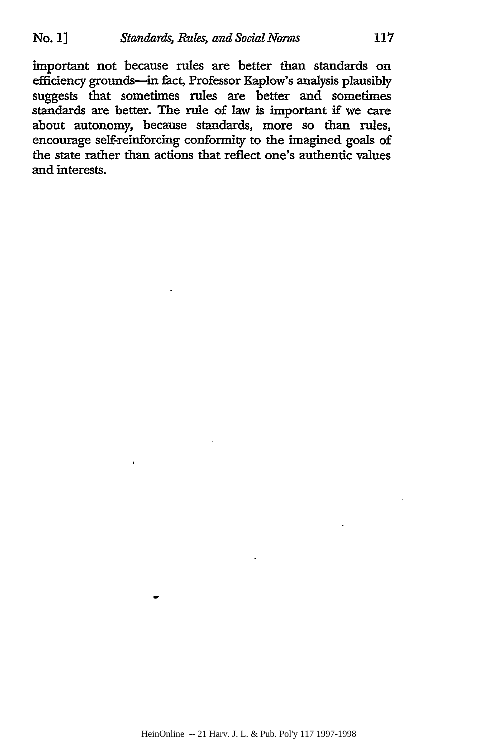important not because rules are better than standards on efficiency grounds-in fact, Professor Kaplow's analysis plausibly suggests that sometimes rules are better and sometimes standards are better. The rule of law is important if we care about autonomy, because standards, more so than rules, encourage self-reinforcing conformity to the imagined goals of the state rather than actions that reflect one's authentic values and interests.